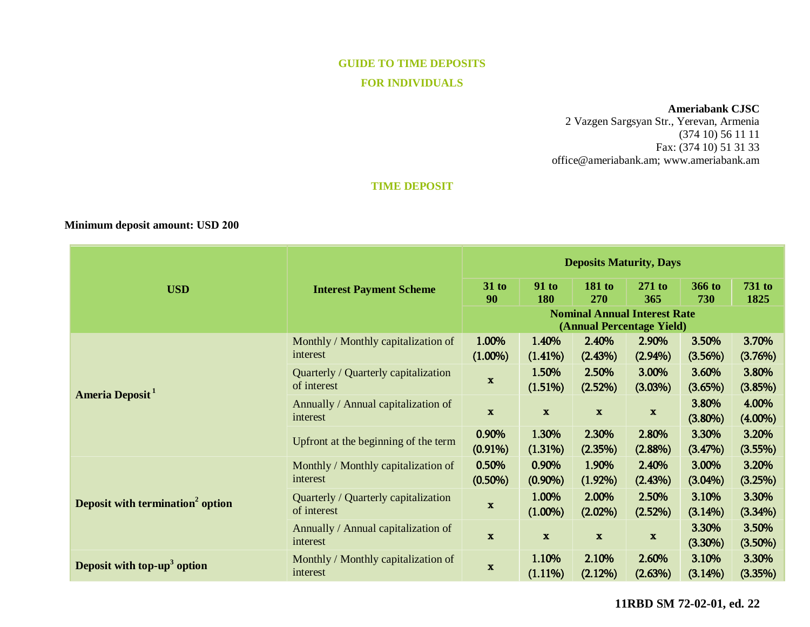# **GUIDE TO TIME DEPOSITS FOR INDIVIDUALS**

### **Ameriabank CJSC**

2 Vazgen Sargsyan Str., Yerevan, Armenia (374 10) 56 11 11 Fax: (374 10) 51 31 33 [office@ameriabank.am;](mailto:office@ameriabank.am) www.ameriabank.am

## **TIME DEPOSIT**

## **Minimum deposit amount: USD 200**

| <b>USD</b>                                   | <b>Interest Payment Scheme</b>                      | <b>Deposits Maturity, Days</b>                                   |                     |                      |                     |                     |                       |
|----------------------------------------------|-----------------------------------------------------|------------------------------------------------------------------|---------------------|----------------------|---------------------|---------------------|-----------------------|
|                                              |                                                     | $31$ to<br>90                                                    | <b>91 to</b><br>180 | <b>181 to</b><br>270 | $271$ to<br>365     | 366 to<br>730       | <b>731 to</b><br>1825 |
|                                              |                                                     | <b>Nominal Annual Interest Rate</b><br>(Annual Percentage Yield) |                     |                      |                     |                     |                       |
| Ameria Deposit <sup>1</sup>                  | Monthly / Monthly capitalization of<br>interest     | 1.00%<br>$(1.00\%)$                                              | 1.40%<br>(1.41%)    | 2.40%<br>(2.43%)     | 2.90%<br>$(2.94\%)$ | 3.50%<br>(3.56%)    | 3.70%<br>(3.76%)      |
|                                              | Quarterly / Quarterly capitalization<br>of interest | $\mathbf x$                                                      | 1.50%<br>(1.51%)    | 2.50%<br>(2.52%)     | 3.00%<br>(3.03%)    | 3.60%<br>(3.65%)    | 3.80%<br>(3.85%)      |
|                                              | Annually / Annual capitalization of<br>interest     | $\mathbf{x}$                                                     | $\mathbf{x}$        | $\mathbf{x}$         | $\mathbf{x}$        | 3.80%<br>$(3.80\%)$ | 4.00%<br>$(4.00\%)$   |
|                                              | Upfront at the beginning of the term                | 0.90%<br>$(0.91\%)$                                              | 1.30%<br>(1.31%)    | 2.30%<br>(2.35%)     | 2.80%<br>$(2.88\%)$ | 3.30%<br>(3.47%)    | 3.20%<br>(3.55%)      |
| Deposit with termination <sup>2</sup> option | Monthly / Monthly capitalization of<br>interest     | 0.50%<br>$(0.50\%)$                                              | 0.90%<br>$(0.90\%)$ | 1.90%<br>$(1.92\%)$  | 2.40%<br>(2.43%)    | 3.00%<br>$(3.04\%)$ | 3.20%<br>(3.25%)      |
|                                              | Quarterly / Quarterly capitalization<br>of interest | $\boldsymbol{\mathrm{X}}$                                        | 1.00%<br>$(1.00\%)$ | 2.00%<br>$(2.02\%)$  | 2.50%<br>(2.52%)    | 3.10%<br>$(3.14\%)$ | 3.30%<br>(3.34%)      |
|                                              | Annually / Annual capitalization of<br>interest     | $\mathbf x$                                                      | $\mathbf{x}$        | $\mathbf{x}$         | $\mathbf{x}$        | 3.30%<br>$(3.30\%)$ | 3.50%<br>$(3.50\%)$   |
| Deposit with top-up <sup>3</sup> option      | Monthly / Monthly capitalization of<br>interest     | $\mathbf x$                                                      | 1.10%<br>$(1.11\%)$ | 2.10%<br>(2.12%)     | 2.60%<br>(2.63%)    | 3.10%<br>(3.14%)    | 3.30%<br>(3.35%)      |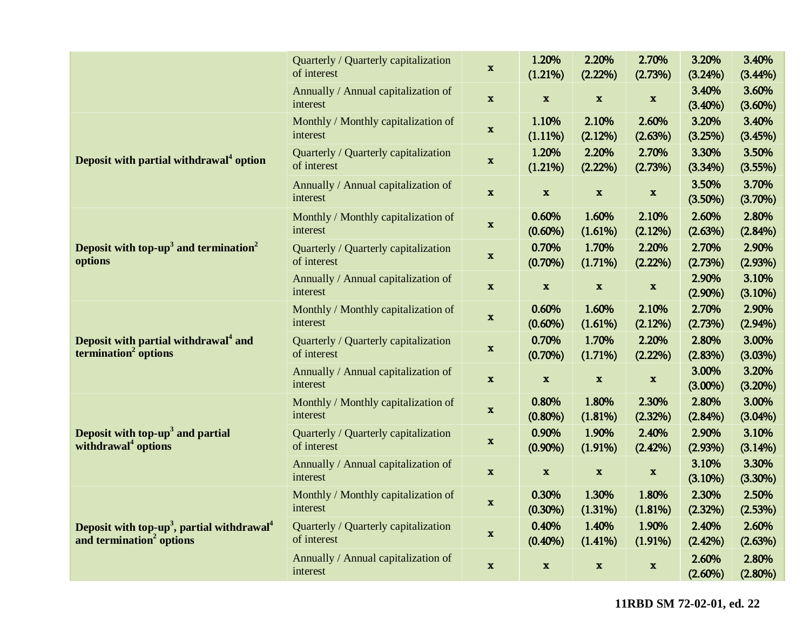|                                                                                                            | Quarterly / Quarterly capitalization<br>of interest | $\mathbf x$               | 1.20%<br>(1.21%)    | 2.20%<br>$(2.22\%)$       | 2.70%<br>(2.73%)          | 3.20%<br>$(3.24\%)$ | 3.40%<br>$(3.44\%)$ |
|------------------------------------------------------------------------------------------------------------|-----------------------------------------------------|---------------------------|---------------------|---------------------------|---------------------------|---------------------|---------------------|
|                                                                                                            | Annually / Annual capitalization of<br>interest     | $\boldsymbol{\mathrm{x}}$ | $\mathbf x$         | $\mathbf x$               | $\boldsymbol{\mathrm{x}}$ | 3.40%<br>$(3.40\%)$ | 3.60%<br>$(3.60\%)$ |
| Deposit with partial withdrawal <sup>4</sup> option                                                        | Monthly / Monthly capitalization of<br>interest     | $\mathbf x$               | 1.10%<br>$(1.11\%)$ | 2.10%<br>(2.12%)          | 2.60%<br>(2.63%)          | 3.20%<br>(3.25%)    | 3.40%<br>(3.45%)    |
|                                                                                                            | Quarterly / Quarterly capitalization<br>of interest | $\mathbf x$               | 1.20%<br>(1.21%)    | 2.20%<br>(2.22%)          | 2.70%<br>(2.73%)          | 3.30%<br>(3.34%)    | 3.50%<br>(3.55%)    |
|                                                                                                            | Annually / Annual capitalization of<br>interest     | $\mathbf x$               | $\mathbf x$         | $\mathbf x$               | $\mathbf x$               | 3.50%<br>(3.50%)    | 3.70%<br>(3.70%)    |
| Deposit with top- $up3$ and termination <sup>2</sup><br>options                                            | Monthly / Monthly capitalization of<br>interest     | $\boldsymbol{\mathrm{X}}$ | 0.60%<br>$(0.60\%)$ | 1.60%<br>(1.61%)          | 2.10%<br>(2.12%)          | 2.60%<br>(2.63%)    | 2.80%<br>(2.84%)    |
|                                                                                                            | Quarterly / Quarterly capitalization<br>of interest | $\mathbf X$               | 0.70%<br>$(0.70\%)$ | 1.70%<br>(1.71%)          | 2.20%<br>$(2.22\%)$       | 2.70%<br>(2.73%)    | 2.90%<br>(2.93%)    |
|                                                                                                            | Annually / Annual capitalization of<br>interest     | $\mathbf x$               | $\mathbf{x}$        | $\boldsymbol{\mathrm{x}}$ | $\mathbf x$               | 2.90%<br>$(2.90\%)$ | 3.10%<br>(3.10%)    |
| Deposit with partial withdrawal <sup>4</sup> and<br>termination <sup>2</sup> options                       | Monthly / Monthly capitalization of<br>interest     | $\mathbf x$               | 0.60%<br>$(0.60\%)$ | 1.60%<br>(1.61%)          | 2.10%<br>(2.12%)          | 2.70%<br>(2.73%)    | 2.90%<br>(2.94%)    |
|                                                                                                            | Quarterly / Quarterly capitalization<br>of interest | $\mathbf x$               | 0.70%<br>$(0.70\%)$ | 1.70%<br>(1.71%)          | 2.20%<br>$(2.22\%)$       | 2.80%<br>(2.83%)    | 3.00%<br>(3.03%)    |
|                                                                                                            | Annually / Annual capitalization of<br>interest     | $\mathbf x$               | $\mathbf x$         | $\mathbf x$               | $\mathbf x$               | 3.00%<br>$(3.00\%)$ | 3.20%<br>(3.20%)    |
| Deposit with top-up <sup>3</sup> and partial<br>withdrawal <sup>4</sup> options                            | Monthly / Monthly capitalization of<br>interest     | $\mathbf x$               | 0.80%<br>$(0.80\%)$ | 1.80%<br>(1.81%)          | 2.30%<br>(2.32%)          | 2.80%<br>$(2.84\%)$ | 3.00%<br>$(3.04\%)$ |
|                                                                                                            | Quarterly / Quarterly capitalization<br>of interest | $\boldsymbol{\mathrm{X}}$ | 0.90%<br>$(0.90\%)$ | 1.90%<br>(1.91%)          | 2.40%<br>(2.42%)          | 2.90%<br>(2.93%)    | 3.10%<br>(3.14%)    |
|                                                                                                            | Annually / Annual capitalization of<br>interest     | $\mathbf X$               | $\mathbf x$         | $\boldsymbol{\mathrm{X}}$ | $\boldsymbol{\mathrm{x}}$ | 3.10%<br>(3.10%)    | 3.30%<br>$(3.30\%)$ |
| Deposit with top-up <sup>3</sup> , partial withdrawal <sup>4</sup><br>and termination <sup>2</sup> options | Monthly / Monthly capitalization of<br>interest     | $\boldsymbol{\mathrm{X}}$ | 0.30%<br>$(0.30\%)$ | 1.30%<br>(1.31%)          | 1.80%<br>(1.81%)          | 2.30%<br>(2.32%)    | 2.50%<br>(2.53%)    |
|                                                                                                            | Quarterly / Quarterly capitalization<br>of interest | $\mathbf x$               | 0.40%<br>$(0.40\%)$ | 1.40%<br>(1.41%)          | 1.90%<br>$(1.91\%)$       | 2.40%<br>(2.42%)    | 2.60%<br>(2.63%)    |
|                                                                                                            | Annually / Annual capitalization of<br>interest     | $\mathbf x$               | $\mathbf{x}$        | $\mathbf{x}$              | $\boldsymbol{\mathrm{x}}$ | 2.60%<br>$(2.60\%)$ | 2.80%<br>$(2.80\%)$ |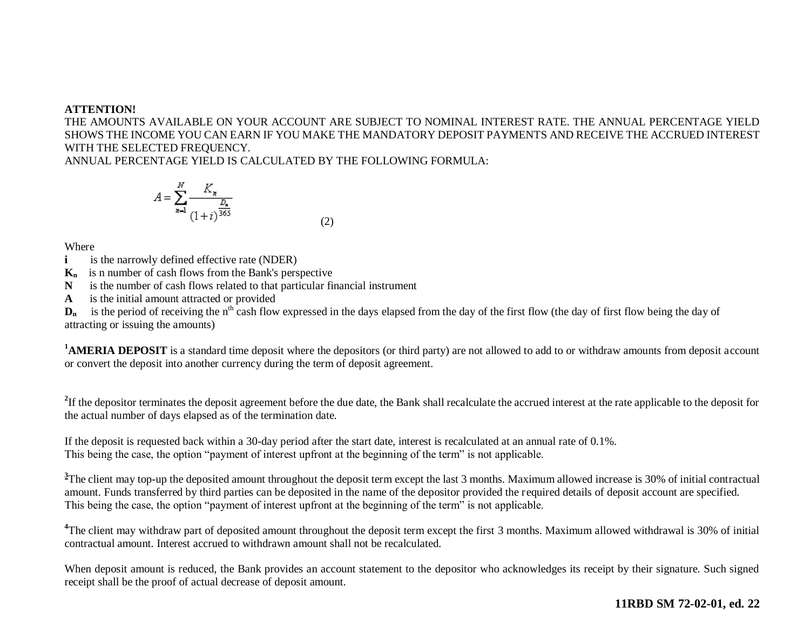#### **ATTENTION!**

THE AMOUNTS AVAILABLE ON YOUR ACCOUNT ARE SUBJECT TO NOMINAL INTEREST RATE. THE ANNUAL PERCENTAGE YIELD SHOWS THE INCOME YOU CAN EARN IF YOU MAKE THE MANDATORY DEPOSIT PAYMENTS AND RECEIVE THE ACCRUED INTEREST WITH THE SELECTED FREQUENCY.

ANNUAL PERCENTAGE YIELD IS CALCULATED BY THE FOLLOWING FORMULA:

$$
A = \sum_{n=1}^{N} \frac{K_n}{(1+i)^{\frac{D_n}{365}}}
$$
(2)

Where

**i is the narrowly defined effective rate (NDER)** 

**Kn** is n number of cash flows from the Bank's perspective

**N** is the number of cash flows related to that particular financial instrument

**A** is the initial amount attracted or provided

 $D_n$  is the period of receiving the n<sup>th</sup> cash flow expressed in the days elapsed from the day of the first flow (the day of first flow being the day of attracting or issuing the amounts)

<sup>1</sup>**AMERIA DEPOSIT** is a standard time deposit where the depositors (or third party) are not allowed to add to or withdraw amounts from deposit account or convert the deposit into another currency during the term of deposit agreement.

<sup>2</sup>If the depositor terminates the deposit agreement before the due date, the Bank shall recalculate the accrued interest at the rate applicable to the deposit for the actual number of days elapsed as of the termination date.

If the deposit is requested back within a 30-day period after the start date, interest is recalculated at an annual rate of 0.1%. This being the case, the option "payment of interest upfront at the beginning of the term" is not applicable.

<sup>3</sup>The client may top-up the deposited amount throughout the deposit term except the last 3 months. Maximum allowed increase is 30% of initial contractual amount. Funds transferred by third parties can be deposited in the name of the depositor provided the required details of deposit account are specified. This being the case, the option "payment of interest upfront at the beginning of the term" is not applicable.

<sup>4</sup>The client may withdraw part of deposited amount throughout the deposit term except the first 3 months. Maximum allowed withdrawal is 30% of initial contractual amount. Interest accrued to withdrawn amount shall not be recalculated.

When deposit amount is reduced, the Bank provides an account statement to the depositor who acknowledges its receipt by their signature. Such signed receipt shall be the proof of actual decrease of deposit amount.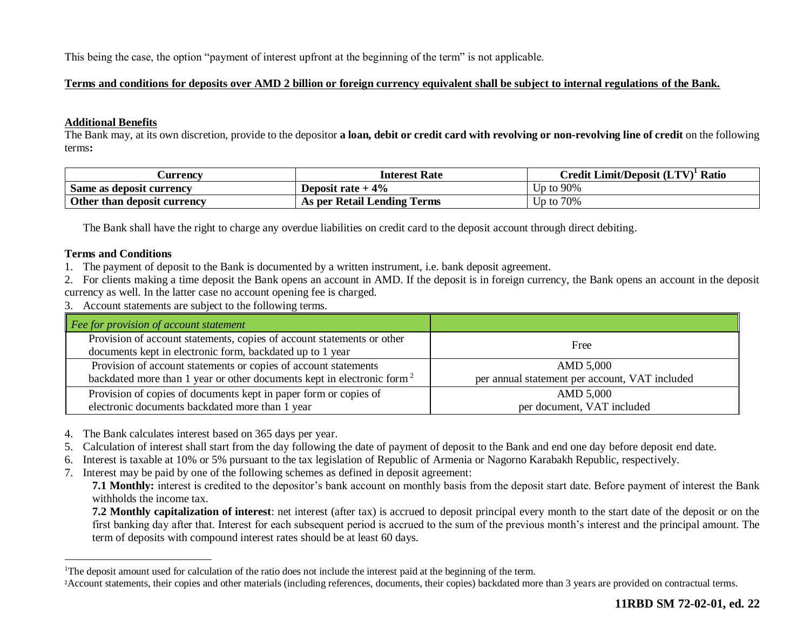This being the case, the option "payment of interest upfront at the beginning of the term" is not applicable.

### **Terms and conditions for deposits over AMD 2 billion or foreign currency equivalent shall be subject to internal regulations of the Bank.**

#### **Additional Benefits**

The Bank may, at its own discretion, provide to the depositor **a loan, debit or credit card with revolving or non-revolving line of credit** on the following terms**:**

| Aurrencv                    | <b>Interest Rate</b>        | Credit Limit/Deposit (LTV)<br>$\mathbb{R}^1$ Ratio |
|-----------------------------|-----------------------------|----------------------------------------------------|
| Same as deposit currency    | Deposit rate $+4\%$         | Un to 90%                                          |
| Other than deposit currency | As per Retail Lending Terms | Up to 70%                                          |

The Bank shall have the right to charge any overdue liabilities on credit card to the deposit account through direct debiting.

#### **Terms and Conditions**

 $\overline{a}$ 

1. The payment of deposit to the Bank is documented by a written instrument, i.e. bank deposit agreement.

2. For clients making a time deposit the Bank opens an account in AMD. If the deposit is in foreign currency, the Bank opens an account in the deposit currency as well. In the latter case no account opening fee is charged.

3. Account statements are subject to the following terms.

| Fee for provision of account statement                                             |                                                |
|------------------------------------------------------------------------------------|------------------------------------------------|
| Provision of account statements, copies of account statements or other             | Free                                           |
| documents kept in electronic form, backdated up to 1 year                          |                                                |
| Provision of account statements or copies of account statements                    | AMD 5,000                                      |
| backdated more than 1 year or other documents kept in electronic form <sup>2</sup> | per annual statement per account, VAT included |
| Provision of copies of documents kept in paper form or copies of                   | AMD 5,000                                      |
| electronic documents backdated more than 1 year                                    | per document, VAT included                     |

- 4. The Bank calculates interest based on 365 days per year.
- 5. Calculation of interest shall start from the day following the date of payment of deposit to the Bank and end one day before deposit end date.
- 6. Interest is taxable at 10% or 5% pursuant to the tax legislation of Republic of Armenia or Nagorno Karabakh Republic, respectively.
- 7. Interest may be paid by one of the following schemes as defined in deposit agreement:

**7.1 Monthly:** interest is credited to the depositor's bank account on monthly basis from the deposit start date. Before payment of interest the Bank withholds the income tax.

**7.2 Monthly capitalization of interest**: net interest (after tax) is accrued to deposit principal every month to the start date of the deposit or on the first banking day after that. Interest for each subsequent period is accrued to the sum of the previous month's interest and the principal amount. The term of deposits with compound interest rates should be at least 60 days.

<sup>&</sup>lt;sup>1</sup>The deposit amount used for calculation of the ratio does not include the interest paid at the beginning of the term.

<sup>2</sup>Account statements, their copies and other materials (including references, documents, their copies) backdated more than 3 years are provided on contractual terms.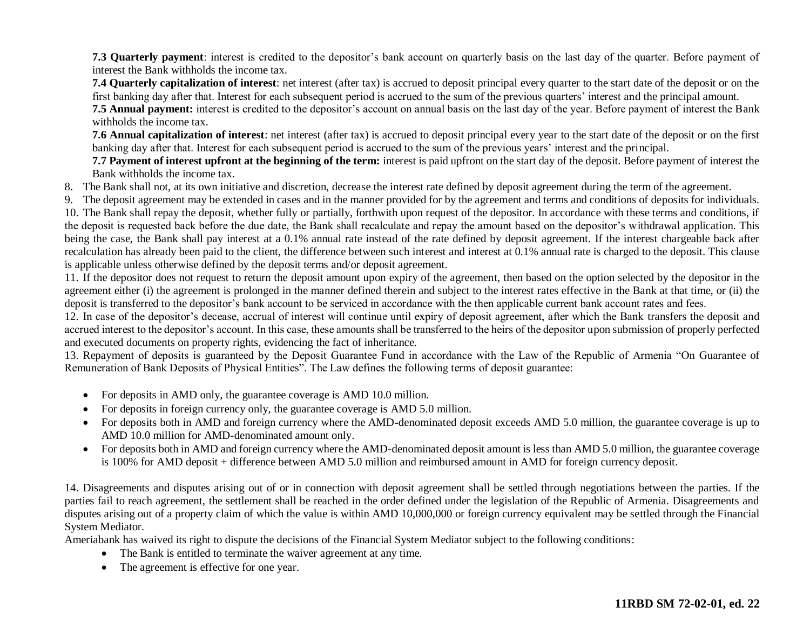**7.3 Quarterly payment**: interest is credited to the depositor's bank account on quarterly basis on the last day of the quarter. Before payment of interest the Bank withholds the income tax.

**7.4 Quarterly capitalization of interest**: net interest (after tax) is accrued to deposit principal every quarter to the start date of the deposit or on the first banking day after that. Interest for each subsequent period is accrued to the sum of the previous quarters' interest and the principal amount.

**7.5 Annual payment:** interest is credited to the depositor's account on annual basis on the last day of the year. Before payment of interest the Bank withholds the income tax.

**7.6 Annual capitalization of interest**: net interest (after tax) is accrued to deposit principal every year to the start date of the deposit or on the first banking day after that. Interest for each subsequent period is accrued to the sum of the previous years' interest and the principal.

**7.7 Payment of interest upfront at the beginning of the term:** interest is paid upfront on the start day of the deposit. Before payment of interest the Bank withholds the income tax.

8. The Bank shall not, at its own initiative and discretion, decrease the interest rate defined by deposit agreement during the term of the agreement.

9. The deposit agreement may be extended in cases and in the manner provided for by the agreement and terms and conditions of deposits for individuals.

10. The Bank shall repay the deposit, whether fully or partially, forthwith upon request of the depositor. In accordance with these terms and conditions, if the deposit is requested back before the due date, the Bank shall recalculate and repay the amount based on the depositor's withdrawal application. This being the case, the Bank shall pay interest at a 0.1% annual rate instead of the rate defined by deposit agreement. If the interest chargeable back after recalculation has already been paid to the client, the difference between such interest and interest at 0.1% annual rate is charged to the deposit. This clause is applicable unless otherwise defined by the deposit terms and/or deposit agreement.

11. If the depositor does not request to return the deposit amount upon expiry of the agreement, then based on the option selected by the depositor in the agreement either (i) the agreement is prolonged in the manner defined therein and subject to the interest rates effective in the Bank at that time, or (ii) the deposit is transferred to the depositor's bank account to be serviced in accordance with the then applicable current bank account rates and fees.

12. In case of the depositor's decease, accrual of interest will continue until expiry of deposit agreement, after which the Bank transfers the deposit and accrued interest to the depositor's account. In this case, these amounts shall be transferred to the heirs of the depositor upon submission of properly perfected and executed documents on property rights, evidencing the fact of inheritance.

13. Repayment of deposits is guaranteed by the Deposit Guarantee Fund in accordance with the Law of the Republic of Armenia "On Guarantee of Remuneration of Bank Deposits of Physical Entities". The Law defines the following terms of deposit guarantee:

- For deposits in AMD only, the guarantee coverage is AMD 10.0 million.
- For deposits in foreign currency only, the guarantee coverage is AMD 5.0 million.
- For deposits both in AMD and foreign currency where the AMD-denominated deposit exceeds AMD 5.0 million, the guarantee coverage is up to AMD 10.0 million for AMD-denominated amount only.
- For deposits both in AMD and foreign currency where the AMD-denominated deposit amount is less than AMD 5.0 million, the guarantee coverage is 100% for AMD deposit + difference between AMD 5.0 million and reimbursed amount in AMD for foreign currency deposit.

14. Disagreements and disputes arising out of or in connection with deposit agreement shall be settled through negotiations between the parties. If the parties fail to reach agreement, the settlement shall be reached in the order defined under the legislation of the Republic of Armenia. Disagreements and disputes arising out of a property claim of which the value is within AMD 10,000,000 or foreign currency equivalent may be settled through the Financial System Mediator.

Ameriabank has waived its right to dispute the decisions of the Financial System Mediator subject to the following conditions:

- The Bank is entitled to terminate the waiver agreement at any time.
- The agreement is effective for one year.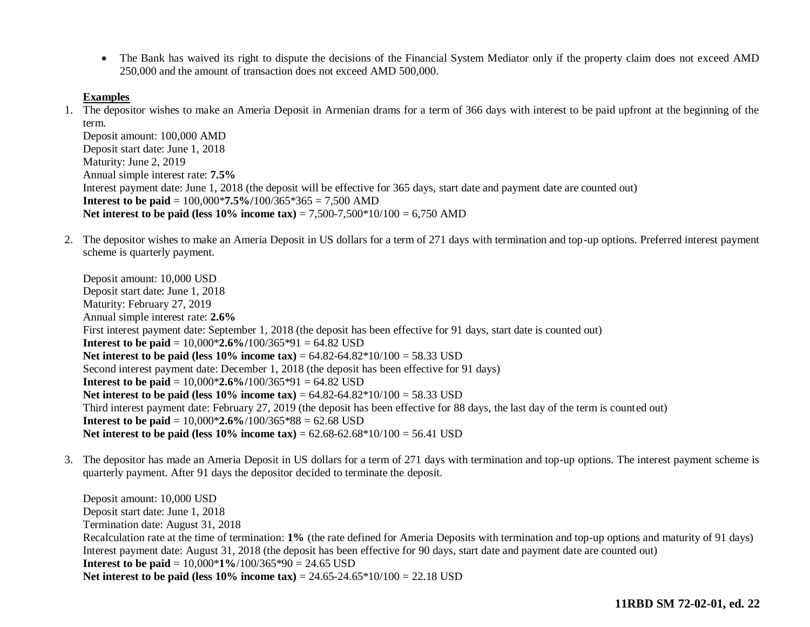• The Bank has waived its right to dispute the decisions of the Financial System Mediator only if the property claim does not exceed AMD 250,000 and the amount of transaction does not exceed AMD 500,000.

#### **Examples**

1. The depositor wishes to make an Ameria Deposit in Armenian drams for a term of 366 days with interest to be paid upfront at the beginning of the term.

Deposit amount: 100,000 AMD Deposit start date: June 1, 2018 Maturity: June 2, 2019 Annual simple interest rate: **7.5%** Interest payment date: June 1, 2018 (the deposit will be effective for 365 days, start date and payment date are counted out) **Interest to be paid** = 100,000\***7.5%/**100/365\*365 = 7,500 AMD **Net interest to be paid (less 10% income tax)** = 7,500-7,500\*10/100 = 6,750 AMD

2. The depositor wishes to make an Ameria Deposit in US dollars for a term of 271 days with termination and top-up options. Preferred interest payment scheme is quarterly payment.

Deposit amount: 10,000 USD Deposit start date: June 1, 2018 Maturity: February 27, 2019 Annual simple interest rate: **2.6%** First interest payment date: September 1, 2018 (the deposit has been effective for 91 days, start date is counted out) **Interest to be paid =**  $10,000*2.6\%/100/365*91 = 64.82$  **USD Net interest to be paid (less 10% income tax) = 64.82-64.82\*10/100 = 58.33 USD** Second interest payment date: December 1, 2018 (the deposit has been effective for 91 days) **Interest to be paid =**  $10,000*2.6\%/100/365*91 = 64.82$  **USD Net interest to be paid (less 10% income tax)** = 64.82-64.82\*10/100 = 58.33 USD Third interest payment date: February 27, 2019 (the deposit has been effective for 88 days, the last day of the term is counted out) **Interest to be paid =**  $10,000*2.6\%/100/365*88 = 62.68$  **USD Net interest to be paid (less**  $10\%$  **income tax) =**  $62.68 - 62.68 \times 10/100 = 56.41$  **USD** 

3. The depositor has made an Ameria Deposit in US dollars for a term of 271 days with termination and top-up options. The interest payment scheme is quarterly payment. After 91 days the depositor decided to terminate the deposit.

Deposit amount: 10,000 USD Deposit start date: June 1, 2018 Termination date: August 31, 2018 Recalculation rate at the time of termination: **1%** (the rate defined for Ameria Deposits with termination and top-up options and maturity of 91 days) Interest payment date: August 31, 2018 (the deposit has been effective for 90 days, start date and payment date are counted out) **Interest to be paid** = 10,000\***1%**/100/365\*90 = 24.65 USD **Net interest to be paid (less 10% income tax)** = 24.65-24.65\*10/100 = 22.18 USD